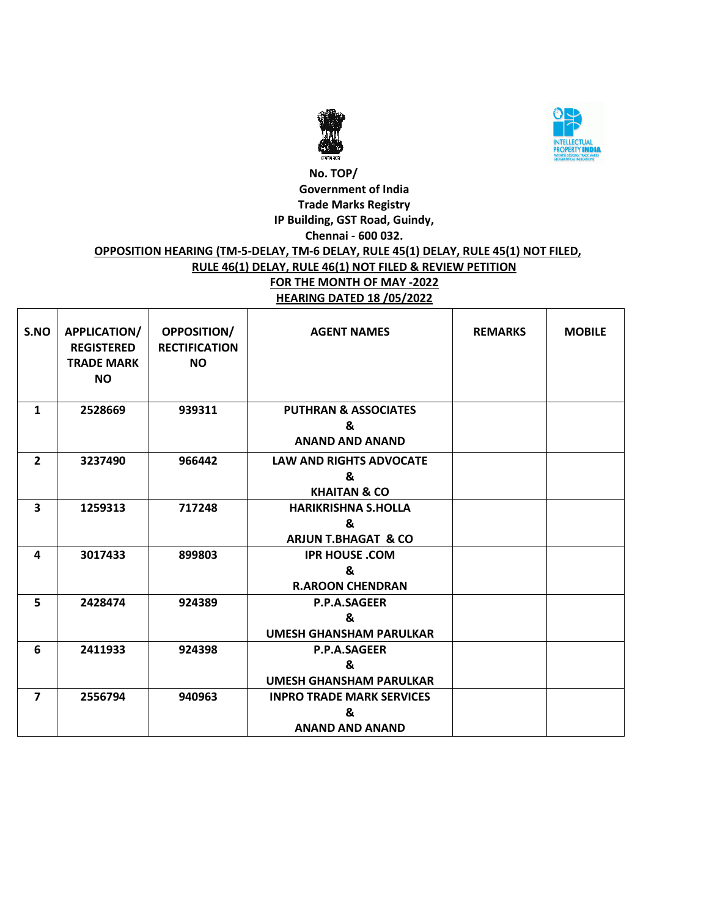



#### **No. TOP/ Government of India Trade Marks Registry IP Building, GST Road, Guindy, Chennai - 600 032. OPPOSITION HEARING (TM-5-DELAY, TM-6 DELAY, RULE 45(1) DELAY, RULE 45(1) NOT FILED, RULE 46(1) DELAY, RULE 46(1) NOT FILED & REVIEW PETITION FOR THE MONTH OF MAY -2022 HEARING DATED 18 /05/2022**

| S.NO                    | APPLICATION/<br><b>REGISTERED</b><br><b>TRADE MARK</b><br><b>NO</b> | <b>OPPOSITION/</b><br><b>RECTIFICATION</b><br><b>NO</b> | <b>AGENT NAMES</b>                                                | <b>REMARKS</b> | <b>MOBILE</b> |
|-------------------------|---------------------------------------------------------------------|---------------------------------------------------------|-------------------------------------------------------------------|----------------|---------------|
| 1                       | 2528669                                                             | 939311                                                  | <b>PUTHRAN &amp; ASSOCIATES</b><br>&<br><b>ANAND AND ANAND</b>    |                |               |
| $\overline{2}$          | 3237490                                                             | 966442                                                  | <b>LAW AND RIGHTS ADVOCATE</b><br>ጼ<br><b>KHAITAN &amp; CO</b>    |                |               |
| $\overline{\mathbf{3}}$ | 1259313                                                             | 717248                                                  | <b>HARIKRISHNA S.HOLLA</b><br>&<br><b>ARJUN T.BHAGAT &amp; CO</b> |                |               |
| 4                       | 3017433                                                             | 899803                                                  | <b>IPR HOUSE, COM</b><br>&<br><b>R.AROON CHENDRAN</b>             |                |               |
| 5                       | 2428474                                                             | 924389                                                  | <b>P.P.A.SAGEER</b><br>&<br><b>UMESH GHANSHAM PARULKAR</b>        |                |               |
| 6                       | 2411933                                                             | 924398                                                  | <b>P.P.A.SAGEER</b><br>&<br>UMESH GHANSHAM PARULKAR               |                |               |
| $\overline{7}$          | 2556794                                                             | 940963                                                  | <b>INPRO TRADE MARK SERVICES</b><br>&<br><b>ANAND AND ANAND</b>   |                |               |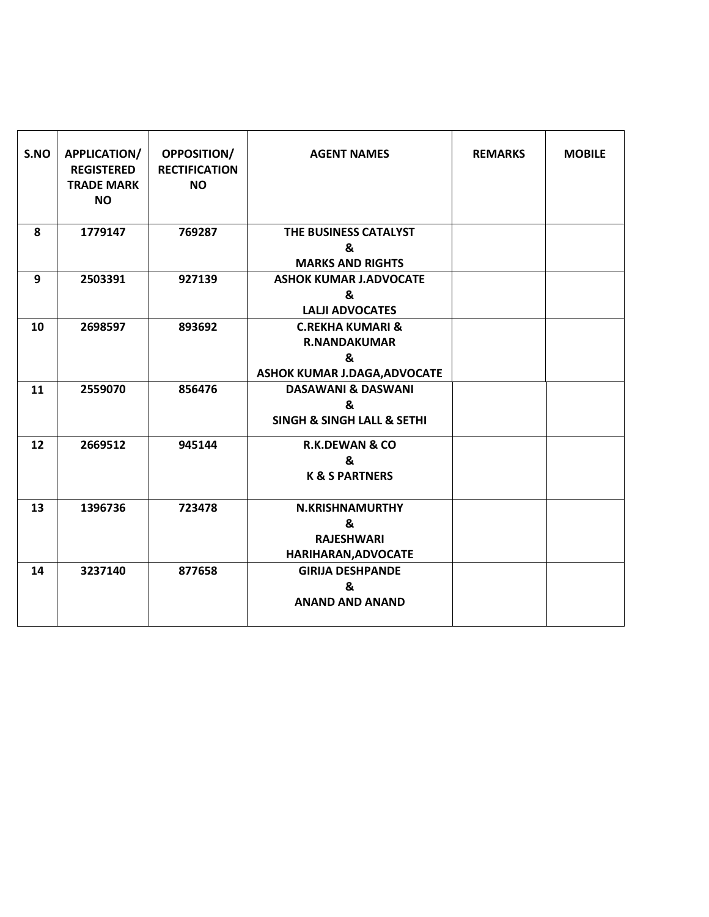| S.NO | APPLICATION/<br><b>REGISTERED</b><br><b>TRADE MARK</b><br><b>NO</b> | <b>OPPOSITION/</b><br><b>RECTIFICATION</b><br><b>NO</b> | <b>AGENT NAMES</b>                                                                      | <b>REMARKS</b> | <b>MOBILE</b> |
|------|---------------------------------------------------------------------|---------------------------------------------------------|-----------------------------------------------------------------------------------------|----------------|---------------|
| 8    | 1779147                                                             | 769287                                                  | THE BUSINESS CATALYST<br>&<br><b>MARKS AND RIGHTS</b>                                   |                |               |
| 9    | 2503391                                                             | 927139                                                  | <b>ASHOK KUMAR J.ADVOCATE</b><br>&<br><b>LALJI ADVOCATES</b>                            |                |               |
| 10   | 2698597                                                             | 893692                                                  | <b>C.REKHA KUMARI &amp;</b><br><b>R.NANDAKUMAR</b><br>&<br>ASHOK KUMAR J.DAGA, ADVOCATE |                |               |
| 11   | 2559070                                                             | 856476                                                  | <b>DASAWANI &amp; DASWANI</b><br>&<br><b>SINGH &amp; SINGH LALL &amp; SETHI</b>         |                |               |
| 12   | 2669512                                                             | 945144                                                  | <b>R.K.DEWAN &amp; CO</b><br>&<br><b>K &amp; S PARTNERS</b>                             |                |               |
| 13   | 1396736                                                             | 723478                                                  | <b>N.KRISHNAMURTHY</b><br>&<br><b>RAJESHWARI</b><br>HARIHARAN, ADVOCATE                 |                |               |
| 14   | 3237140                                                             | 877658                                                  | <b>GIRIJA DESHPANDE</b><br>&<br><b>ANAND AND ANAND</b>                                  |                |               |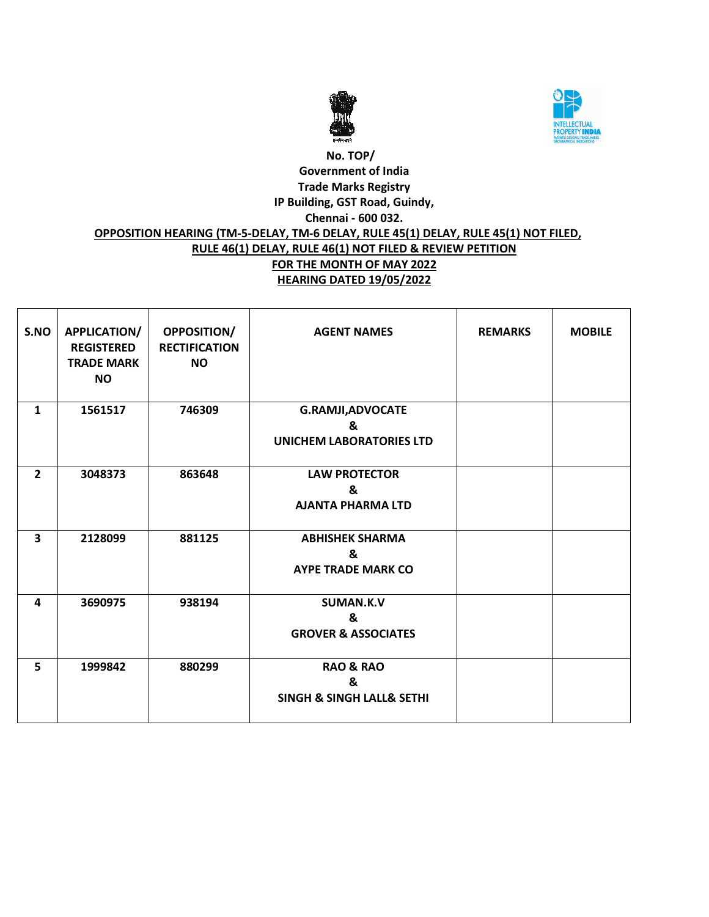



### **No. TOP/ Government of India Trade Marks Registry IP Building, GST Road, Guindy, Chennai - 600 032. OPPOSITION HEARING (TM-5-DELAY, TM-6 DELAY, RULE 45(1) DELAY, RULE 45(1) NOT FILED, RULE 46(1) DELAY, RULE 46(1) NOT FILED & REVIEW PETITION FOR THE MONTH OF MAY 2022 HEARING DATED 19/05/2022**

| S.NO                    | APPLICATION/<br><b>REGISTERED</b><br><b>TRADE MARK</b><br><b>NO</b> | <b>OPPOSITION/</b><br><b>RECTIFICATION</b><br><b>NO</b> | <b>AGENT NAMES</b>                                                    | <b>REMARKS</b> | <b>MOBILE</b> |
|-------------------------|---------------------------------------------------------------------|---------------------------------------------------------|-----------------------------------------------------------------------|----------------|---------------|
| $\mathbf{1}$            | 1561517                                                             | 746309                                                  | <b>G.RAMJI, ADVOCATE</b><br>&<br><b>UNICHEM LABORATORIES LTD</b>      |                |               |
| $\overline{2}$          | 3048373                                                             | 863648                                                  | <b>LAW PROTECTOR</b><br>&<br><b>AJANTA PHARMA LTD</b>                 |                |               |
| $\overline{\mathbf{3}}$ | 2128099                                                             | 881125                                                  | <b>ABHISHEK SHARMA</b><br>&<br><b>AYPE TRADE MARK CO</b>              |                |               |
| 4                       | 3690975                                                             | 938194                                                  | <b>SUMAN.K.V</b><br>&<br><b>GROVER &amp; ASSOCIATES</b>               |                |               |
| 5                       | 1999842                                                             | 880299                                                  | <b>RAO &amp; RAO</b><br>&<br><b>SINGH &amp; SINGH LALL&amp; SETHI</b> |                |               |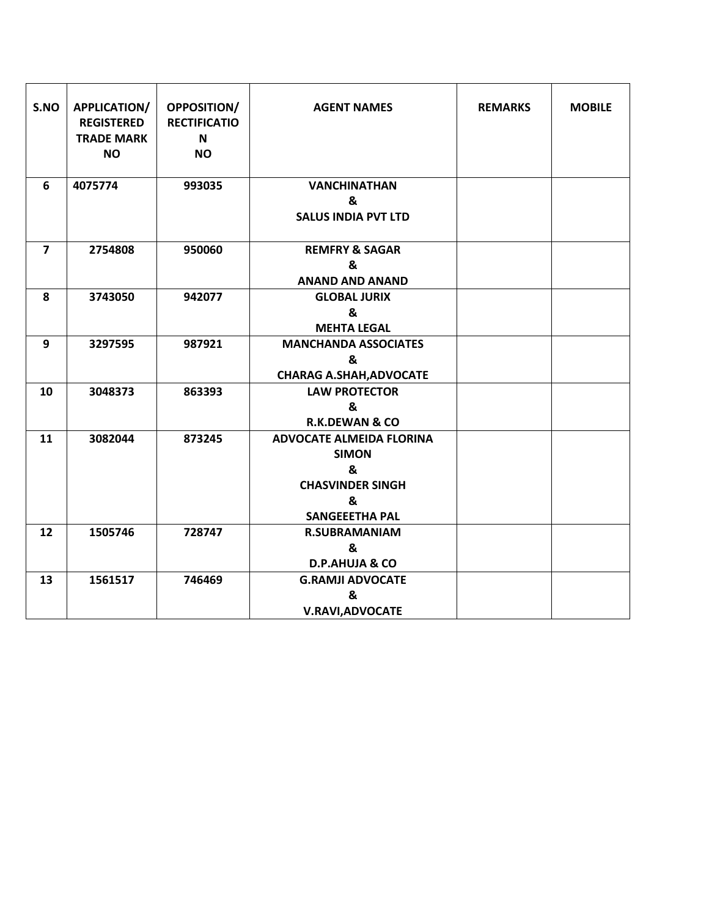| S.NO           | APPLICATION/<br><b>REGISTERED</b><br><b>TRADE MARK</b><br><b>NO</b> | <b>OPPOSITION/</b><br><b>RECTIFICATIO</b><br>N<br><b>NO</b> | <b>AGENT NAMES</b>                                                                                            | <b>REMARKS</b> | <b>MOBILE</b> |
|----------------|---------------------------------------------------------------------|-------------------------------------------------------------|---------------------------------------------------------------------------------------------------------------|----------------|---------------|
| 6              | 4075774                                                             | 993035                                                      | <b>VANCHINATHAN</b><br>&<br><b>SALUS INDIA PVT LTD</b>                                                        |                |               |
| $\overline{7}$ | 2754808                                                             | 950060                                                      | <b>REMFRY &amp; SAGAR</b><br>&<br><b>ANAND AND ANAND</b>                                                      |                |               |
| 8              | 3743050                                                             | 942077                                                      | <b>GLOBAL JURIX</b><br>&<br><b>MEHTA LEGAL</b>                                                                |                |               |
| 9              | 3297595                                                             | 987921                                                      | <b>MANCHANDA ASSOCIATES</b><br>&<br><b>CHARAG A.SHAH, ADVOCATE</b>                                            |                |               |
| 10             | 3048373                                                             | 863393                                                      | <b>LAW PROTECTOR</b><br>&<br><b>R.K.DEWAN &amp; CO</b>                                                        |                |               |
| 11             | 3082044                                                             | 873245                                                      | <b>ADVOCATE ALMEIDA FLORINA</b><br><b>SIMON</b><br>&<br><b>CHASVINDER SINGH</b><br>&<br><b>SANGEEETHA PAL</b> |                |               |
| 12             | 1505746                                                             | 728747                                                      | <b>R.SUBRAMANIAM</b><br>&<br><b>D.P.AHUJA &amp; CO</b>                                                        |                |               |
| 13             | 1561517                                                             | 746469                                                      | <b>G.RAMJI ADVOCATE</b><br>&<br><b>V.RAVI, ADVOCATE</b>                                                       |                |               |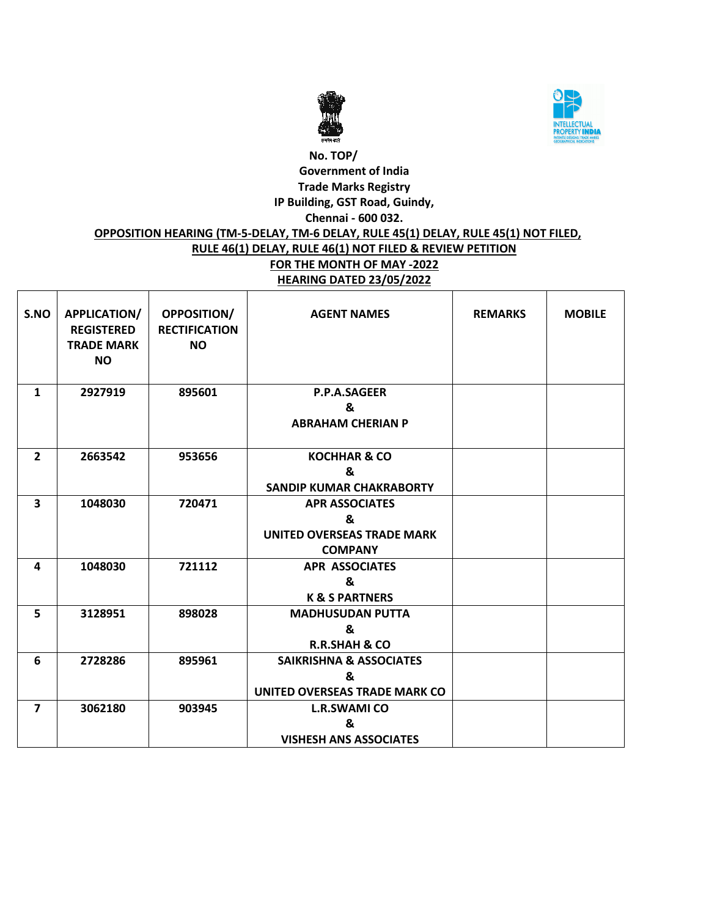



# **No. TOP/ Government of India Trade Marks Registry IP Building, GST Road, Guindy, Chennai - 600 032. OPPOSITION HEARING (TM-5-DELAY, TM-6 DELAY, RULE 45(1) DELAY, RULE 45(1) NOT FILED, RULE 46(1) DELAY, RULE 46(1) NOT FILED & REVIEW PETITION FOR THE MONTH OF MAY -2022 HEARING DATED 23/05/2022**

| S.NO                    | <b>APPLICATION/</b><br><b>REGISTERED</b><br><b>TRADE MARK</b><br><b>NO</b> | <b>OPPOSITION/</b><br><b>RECTIFICATION</b><br><b>NO</b> | <b>AGENT NAMES</b>                                                                | <b>REMARKS</b> | <b>MOBILE</b> |
|-------------------------|----------------------------------------------------------------------------|---------------------------------------------------------|-----------------------------------------------------------------------------------|----------------|---------------|
| $\mathbf{1}$            | 2927919                                                                    | 895601                                                  | <b>P.P.A.SAGEER</b><br>&<br><b>ABRAHAM CHERIAN P</b>                              |                |               |
| $\overline{2}$          | 2663542                                                                    | 953656                                                  | <b>KOCHHAR &amp; CO</b><br>&<br><b>SANDIP KUMAR CHAKRABORTY</b>                   |                |               |
| $\overline{\mathbf{3}}$ | 1048030                                                                    | 720471                                                  | <b>APR ASSOCIATES</b><br>&<br><b>UNITED OVERSEAS TRADE MARK</b><br><b>COMPANY</b> |                |               |
| 4                       | 1048030                                                                    | 721112                                                  | <b>APR ASSOCIATES</b><br>&<br><b>K &amp; S PARTNERS</b>                           |                |               |
| 5                       | 3128951                                                                    | 898028                                                  | <b>MADHUSUDAN PUTTA</b><br>&<br><b>R.R.SHAH &amp; CO</b>                          |                |               |
| 6                       | 2728286                                                                    | 895961                                                  | <b>SAIKRISHNA &amp; ASSOCIATES</b><br>&<br>UNITED OVERSEAS TRADE MARK CO          |                |               |
| $\overline{\mathbf{z}}$ | 3062180                                                                    | 903945                                                  | <b>L.R.SWAMI CO</b><br>&<br><b>VISHESH ANS ASSOCIATES</b>                         |                |               |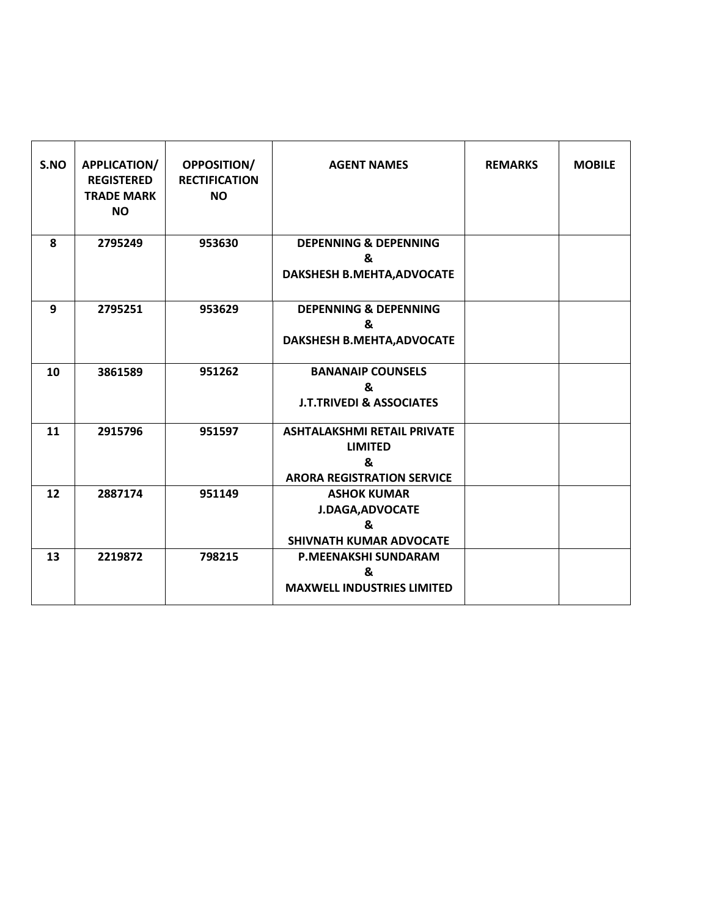| S.NO | APPLICATION/<br><b>REGISTERED</b><br><b>TRADE MARK</b><br><b>NO</b> | <b>OPPOSITION/</b><br><b>RECTIFICATION</b><br><b>NO</b> | <b>AGENT NAMES</b>                                                                             | <b>REMARKS</b> | <b>MOBILE</b> |
|------|---------------------------------------------------------------------|---------------------------------------------------------|------------------------------------------------------------------------------------------------|----------------|---------------|
| 8    | 2795249                                                             | 953630                                                  | <b>DEPENNING &amp; DEPENNING</b><br>&<br>DAKSHESH B.MEHTA, ADVOCATE                            |                |               |
| 9    | 2795251                                                             | 953629                                                  | <b>DEPENNING &amp; DEPENNING</b><br>&<br>DAKSHESH B.MEHTA, ADVOCATE                            |                |               |
| 10   | 3861589                                                             | 951262                                                  | <b>BANANAIP COUNSELS</b><br>&<br><b>J.T.TRIVEDI &amp; ASSOCIATES</b>                           |                |               |
| 11   | 2915796                                                             | 951597                                                  | <b>ASHTALAKSHMI RETAIL PRIVATE</b><br><b>LIMITED</b><br>8<br><b>ARORA REGISTRATION SERVICE</b> |                |               |
| 12   | 2887174                                                             | 951149                                                  | <b>ASHOK KUMAR</b><br><b>J.DAGA, ADVOCATE</b><br>&<br><b>SHIVNATH KUMAR ADVOCATE</b>           |                |               |
| 13   | 2219872                                                             | 798215                                                  | <b>P.MEENAKSHI SUNDARAM</b><br>&<br><b>MAXWELL INDUSTRIES LIMITED</b>                          |                |               |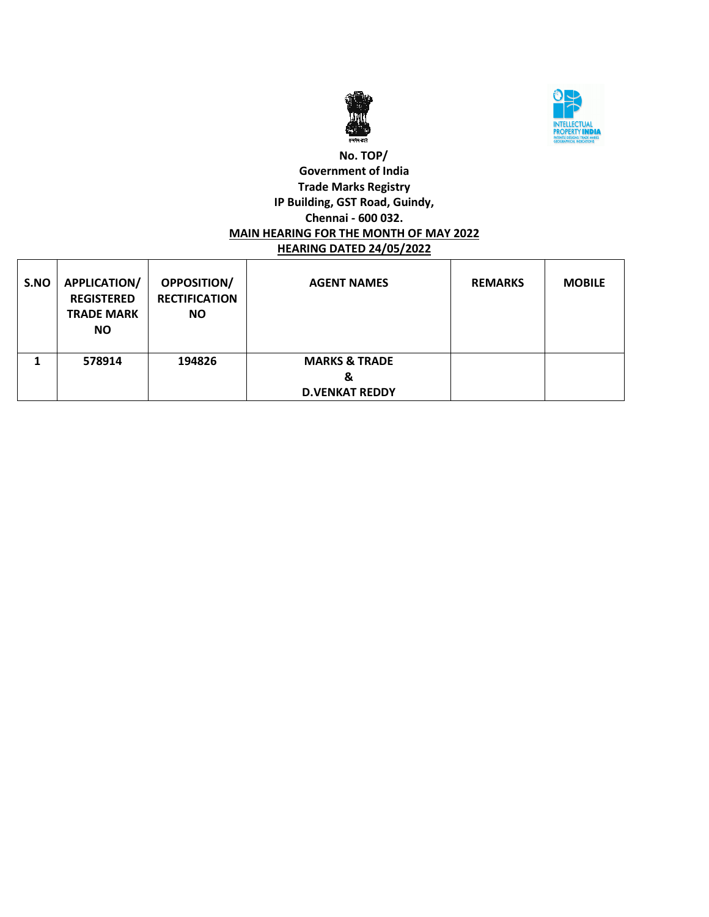



#### **No. TOP/ Government of India Trade Marks Registry IP Building, GST Road, Guindy, Chennai - 600 032. MAIN HEARING FOR THE MONTH OF MAY 2022 HEARING DATED 24/05/2022**

| S.NO | <b>APPLICATION/</b><br><b>REGISTERED</b><br><b>TRADE MARK</b><br><b>NO</b> | OPPOSITION/<br><b>RECTIFICATION</b><br><b>NO</b> | <b>AGENT NAMES</b>                                     | <b>REMARKS</b> | <b>MOBILE</b> |
|------|----------------------------------------------------------------------------|--------------------------------------------------|--------------------------------------------------------|----------------|---------------|
|      | 578914                                                                     | 194826                                           | <b>MARKS &amp; TRADE</b><br>&<br><b>D.VENKAT REDDY</b> |                |               |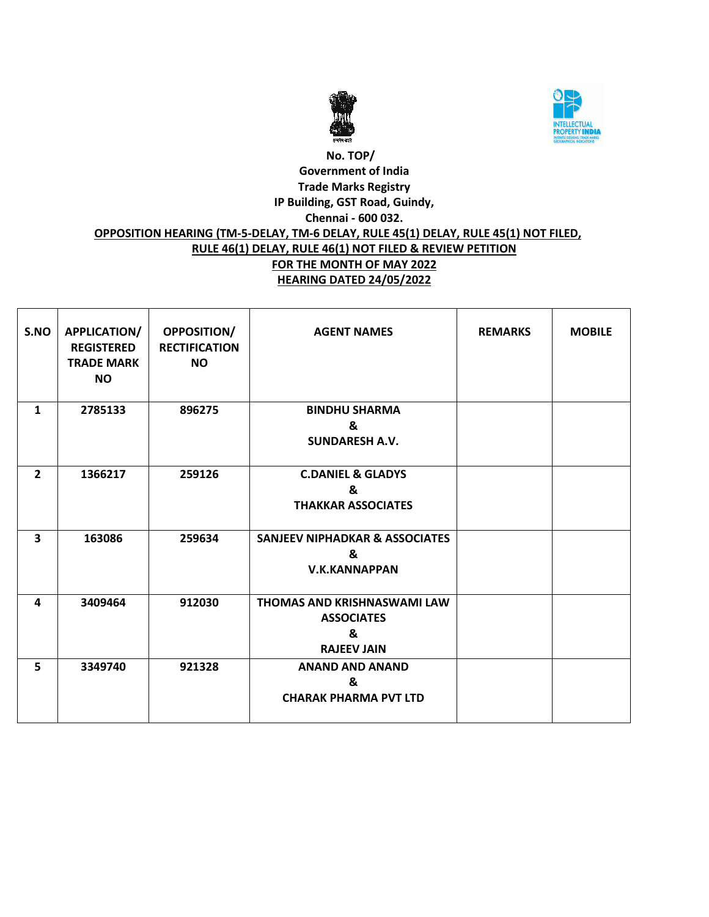



### **No. TOP/ Government of India Trade Marks Registry IP Building, GST Road, Guindy, Chennai - 600 032. OPPOSITION HEARING (TM-5-DELAY, TM-6 DELAY, RULE 45(1) DELAY, RULE 45(1) NOT FILED, RULE 46(1) DELAY, RULE 46(1) NOT FILED & REVIEW PETITION FOR THE MONTH OF MAY 2022 HEARING DATED 24/05/2022**

| S.NO           | <b>APPLICATION/</b><br><b>REGISTERED</b><br><b>TRADE MARK</b><br><b>NO</b> | <b>OPPOSITION/</b><br><b>RECTIFICATION</b><br><b>NO</b> | <b>AGENT NAMES</b>                                                                 | <b>REMARKS</b> | <b>MOBILE</b> |
|----------------|----------------------------------------------------------------------------|---------------------------------------------------------|------------------------------------------------------------------------------------|----------------|---------------|
| $\mathbf{1}$   | 2785133                                                                    | 896275                                                  | <b>BINDHU SHARMA</b><br>&<br><b>SUNDARESH A.V.</b>                                 |                |               |
| $\overline{2}$ | 1366217                                                                    | 259126                                                  | <b>C.DANIEL &amp; GLADYS</b><br>&<br><b>THAKKAR ASSOCIATES</b>                     |                |               |
| 3              | 163086                                                                     | 259634                                                  | <b>SANJEEV NIPHADKAR &amp; ASSOCIATES</b><br>&<br><b>V.K.KANNAPPAN</b>             |                |               |
| 4              | 3409464                                                                    | 912030                                                  | <b>THOMAS AND KRISHNASWAMI LAW</b><br><b>ASSOCIATES</b><br>&<br><b>RAJEEV JAIN</b> |                |               |
| 5              | 3349740                                                                    | 921328                                                  | <b>ANAND AND ANAND</b><br>&<br><b>CHARAK PHARMA PVT LTD</b>                        |                |               |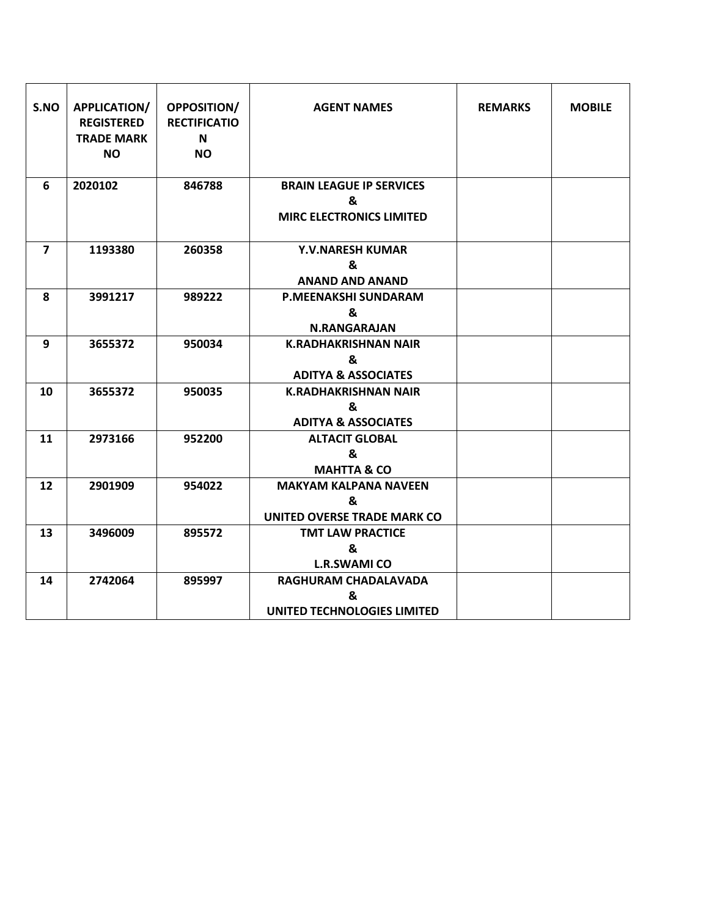| S.NO           | APPLICATION/<br><b>REGISTERED</b><br><b>TRADE MARK</b><br><b>NO</b> | <b>OPPOSITION/</b><br><b>RECTIFICATIO</b><br>N<br><b>NO</b> | <b>AGENT NAMES</b>                                                      | <b>REMARKS</b> | <b>MOBILE</b> |
|----------------|---------------------------------------------------------------------|-------------------------------------------------------------|-------------------------------------------------------------------------|----------------|---------------|
| 6              | 2020102                                                             | 846788                                                      | <b>BRAIN LEAGUE IP SERVICES</b><br>&<br><b>MIRC ELECTRONICS LIMITED</b> |                |               |
| $\overline{7}$ | 1193380                                                             | 260358                                                      | <b>Y.V.NARESH KUMAR</b><br>&<br><b>ANAND AND ANAND</b>                  |                |               |
| 8              | 3991217                                                             | 989222                                                      | P.MEENAKSHI SUNDARAM<br>&<br><b>N.RANGARAJAN</b>                        |                |               |
| 9              | 3655372                                                             | 950034                                                      | <b>K.RADHAKRISHNAN NAIR</b><br>&<br><b>ADITYA &amp; ASSOCIATES</b>      |                |               |
| 10             | 3655372                                                             | 950035                                                      | <b>K.RADHAKRISHNAN NAIR</b><br>&<br><b>ADITYA &amp; ASSOCIATES</b>      |                |               |
| 11             | 2973166                                                             | 952200                                                      | <b>ALTACIT GLOBAL</b><br>&<br><b>MAHTTA &amp; CO</b>                    |                |               |
| 12             | 2901909                                                             | 954022                                                      | <b>MAKYAM KALPANA NAVEEN</b><br>&<br><b>UNITED OVERSE TRADE MARK CO</b> |                |               |
| 13             | 3496009                                                             | 895572                                                      | <b>TMT LAW PRACTICE</b><br>&<br><b>L.R.SWAMI CO</b>                     |                |               |
| 14             | 2742064                                                             | 895997                                                      | RAGHURAM CHADALAVADA<br>&<br>UNITED TECHNOLOGIES LIMITED                |                |               |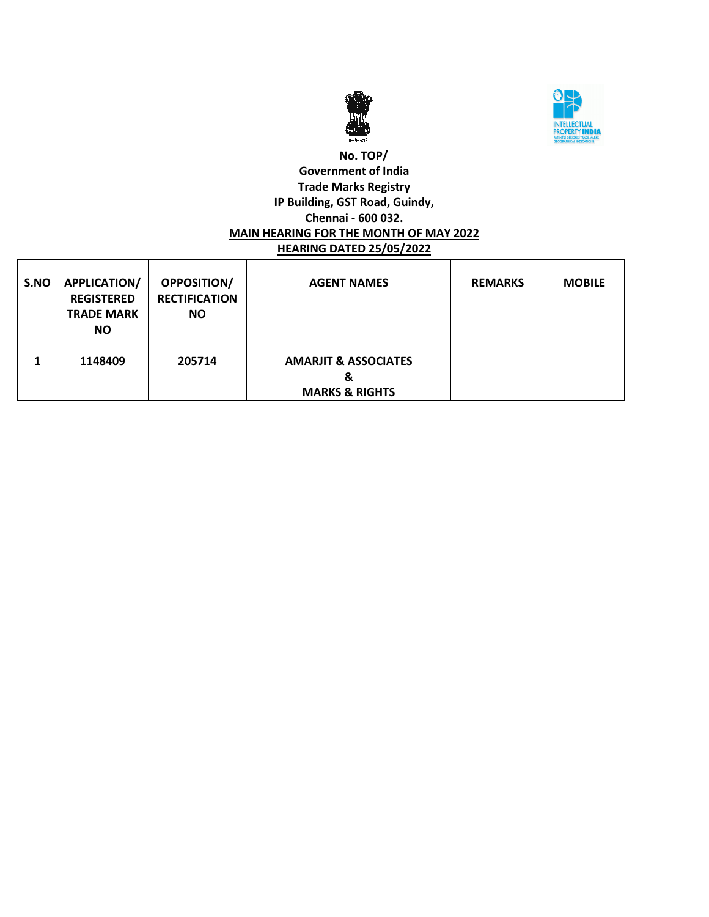



#### **No. TOP/ Government of India Trade Marks Registry IP Building, GST Road, Guindy, Chennai - 600 032. MAIN HEARING FOR THE MONTH OF MAY 2022 HEARING DATED 25/05/2022**

| S.NO | <b>APPLICATION/</b><br><b>REGISTERED</b><br><b>TRADE MARK</b><br><b>NO</b> | OPPOSITION/<br><b>RECTIFICATION</b><br><b>NO</b> | <b>AGENT NAMES</b>                                                | <b>REMARKS</b> | <b>MOBILE</b> |
|------|----------------------------------------------------------------------------|--------------------------------------------------|-------------------------------------------------------------------|----------------|---------------|
|      | 1148409                                                                    | 205714                                           | <b>AMARJIT &amp; ASSOCIATES</b><br>&<br><b>MARKS &amp; RIGHTS</b> |                |               |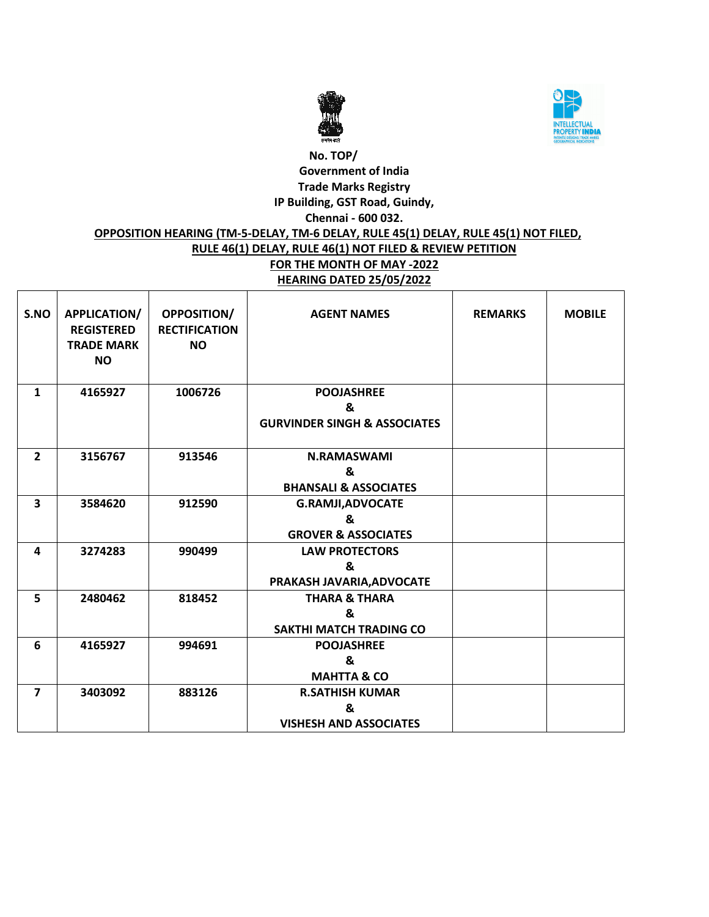



# **No. TOP/ Government of India Trade Marks Registry IP Building, GST Road, Guindy, Chennai - 600 032. OPPOSITION HEARING (TM-5-DELAY, TM-6 DELAY, RULE 45(1) DELAY, RULE 45(1) NOT FILED, RULE 46(1) DELAY, RULE 46(1) NOT FILED & REVIEW PETITION FOR THE MONTH OF MAY -2022 HEARING DATED 25/05/2022**

| S.NO                    | <b>APPLICATION/</b><br><b>REGISTERED</b><br><b>TRADE MARK</b><br><b>NO</b> | OPPOSITION/<br><b>RECTIFICATION</b><br><b>NO</b> | <b>AGENT NAMES</b>                                                | <b>REMARKS</b> | <b>MOBILE</b> |
|-------------------------|----------------------------------------------------------------------------|--------------------------------------------------|-------------------------------------------------------------------|----------------|---------------|
| $\mathbf{1}$            | 4165927                                                                    | 1006726                                          | <b>POOJASHREE</b><br>&<br><b>GURVINDER SINGH &amp; ASSOCIATES</b> |                |               |
| $\overline{2}$          | 3156767                                                                    | 913546                                           | <b>N.RAMASWAMI</b><br>&<br><b>BHANSALI &amp; ASSOCIATES</b>       |                |               |
| $\overline{\mathbf{3}}$ | 3584620                                                                    | 912590                                           | <b>G.RAMJI, ADVOCATE</b><br>&<br><b>GROVER &amp; ASSOCIATES</b>   |                |               |
| 4                       | 3274283                                                                    | 990499                                           | <b>LAW PROTECTORS</b><br>&<br>PRAKASH JAVARIA, ADVOCATE           |                |               |
| 5                       | 2480462                                                                    | 818452                                           | <b>THARA &amp; THARA</b><br>&<br><b>SAKTHI MATCH TRADING CO</b>   |                |               |
| 6                       | 4165927                                                                    | 994691                                           | <b>POOJASHREE</b><br>&<br><b>MAHTTA &amp; CO</b>                  |                |               |
| $\overline{7}$          | 3403092                                                                    | 883126                                           | <b>R.SATHISH KUMAR</b><br>&<br><b>VISHESH AND ASSOCIATES</b>      |                |               |